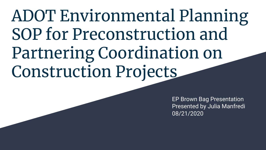ADOT Environmental Planning SOP for Preconstruction and Partnering Coordination on Construction Projects

> EP Brown Bag Presentation Presented by Julia Manfredi 08/21/2020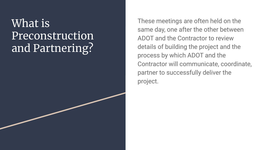## What is Preconstruction and Partnering?

These meetings are often held on the same day, one after the other between ADOT and the Contractor to review details of building the project and the process by which ADOT and the Contractor will communicate, coordinate, partner to successfully deliver the project.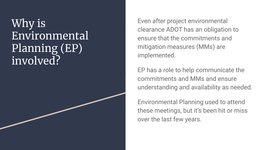#### Why is Environmental Planning (EP) involved?

Even after project environmental clearance ADOT has an obligation to ensure that the commitments and mitigation measures (MMs) are implemented.

EP has a role to help communicate the commitments and MMs and ensure understanding and availability as needed.

Environmental Planning used to attend these meetings, but it's been hit or miss over the last few years.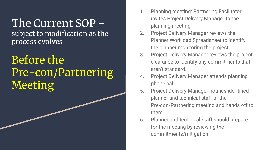# The Current SOP -

subject to modification as the process evolves

#### Before the Pre-con/Partnering Meeting

- 1. Planning meeting: Partnering Facilitator invites Project Delivery Manager to the planning meeting
- 2. Project Delivery Manager reviews the Planner Workload Spreadsheet to identify the planner monitoring the project.
- 3. Project Delivery Manager reviews the project clearance to identify any commitments that aren't standard.
- 4. Project Delivery Manager attends planning phone call.
- 5. Project Delivery Manager notifies identified planner and technical staff of the Pre-con/Partnering meeting and hands off to them.
- 6. Planner and technical staff should prepare for the meeting by reviewing the commitments/mitigation.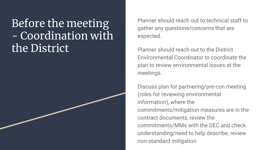### Before the meeting - Coordination with the District

Planner should reach out to technical staff to gather any questions/concerns that are expected.

Planner should reach out to the District Environmental Coordinator to coordinate the plan to review environmental issues at the meetings.

Discuss plan for partnering/pre-con meeting (roles for reviewing environmental information), where the commitments/mitigation measures are in the contract documents, review the commitments/MMs with the DEC and check understanding/need to help describe, review non-standard mitigation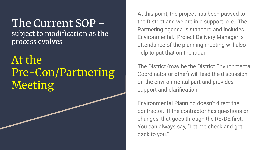## The Current SOP -

subject to modification as the process evolves

### At the Pre-Con/Partnering Meeting

At this point, the project has been passed to the District and we are in a support role. The Partnering agenda is standard and includes Environmental. Project Delivery Manager' s attendance of the planning meeting will also help to put that on the radar.

The District (may be the District Environmental Coordinator or other) will lead the discussion on the environmental part and provides support and clarification.

Environmental Planning doesn't direct the contractor. If the contractor has questions or changes, that goes through the RE/DE first. You can always say, "Let me check and get back to you."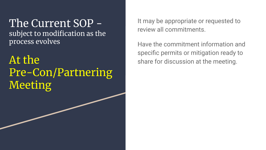The Current SOP subject to modification as the process evolves

At the Pre-Con/Partnering Meeting

It may be appropriate or requested to review all commitments.

Have the commitment information and specific permits or mitigation ready to share for discussion at the meeting.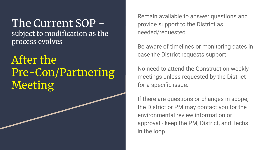## The Current SOP -

subject to modification as the process evolves

After the Pre-Con/Partnering Meeting

Remain available to answer questions and provide support to the District as needed/requested.

Be aware of timelines or monitoring dates in case the District requests support.

No need to attend the Construction weekly meetings unless requested by the District for a specific issue.

If there are questions or changes in scope, the District or PM may contact you for the environmental review information or approval - keep the PM, District, and Techs in the loop.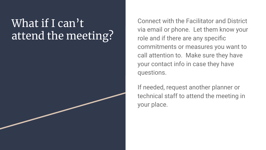### What if I can't attend the meeting?

Connect with the Facilitator and District via email or phone. Let them know your role and if there are any specific commitments or measures you want to call attention to. Make sure they have your contact info in case they have questions.

If needed, request another planner or technical staff to attend the meeting in your place.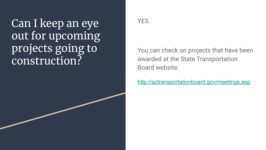Can I keep an eye out for upcoming projects going to construction?



You can check on projects that have been awarded at the State Transportation Board website:

http://aztransportationboard.gov/meetings.asp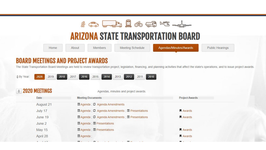

#### **ARIZONA STATE TRANSPORTATION BOARD**

Home

About

**Members** 

Meeting Schedule

Agendas/Minutes/Awards

**Public Hearings** 

#### **BOARD MEETINGS AND PROJECT AWARDS**

The State Transportation Board Meetings are held to review transportation project, legislation, financing, and planning activities that affect the state's operations, and to issue project awards

2019 2018 2017 2016 2015 2014 2013 2012 2011 2010 ♦ By Year: 2020

#### $\approx$  2020 MEETINGS

Agendas, minutes and project awards.

| Date          | <b>Meeting Documents</b>                                                                                                                                                                                                                                                                                                                                                                                                                                                    | <b>Project Awards</b> |
|---------------|-----------------------------------------------------------------------------------------------------------------------------------------------------------------------------------------------------------------------------------------------------------------------------------------------------------------------------------------------------------------------------------------------------------------------------------------------------------------------------|-----------------------|
| August 21     | <b>El Agenda ; C</b> Agenda Amendments                                                                                                                                                                                                                                                                                                                                                                                                                                      |                       |
| July 17       | <b>El Agenda ; C</b> Agenda Amendments ; <b>El Presentations</b>                                                                                                                                                                                                                                                                                                                                                                                                            | Awards                |
| June 19       | <b>El Agenda ; C</b> Agenda Amendments ; <b>El Presentations</b>                                                                                                                                                                                                                                                                                                                                                                                                            | <b>Awards</b>         |
| June 2        | <b>■ Agenda: ■ Presentations</b>                                                                                                                                                                                                                                                                                                                                                                                                                                            |                       |
| <b>May 15</b> | <b>■ Agenda</b> ; ■ Presentations                                                                                                                                                                                                                                                                                                                                                                                                                                           | <b>Awards</b>         |
| April 28      | <b>■</b> Agenda;                                                                                                                                                                                                                                                                                                                                                                                                                                                            | Awards                |
| $A = 1.47$    | $\begin{array}{ccccccccccccccccc} \textbf{m} & \textbf{m} & \textbf{m} & \textbf{m} & \textbf{m} & \textbf{m} & \textbf{m} & \textbf{m} & \textbf{m} & \textbf{m} & \textbf{m} & \textbf{m} & \textbf{m} & \textbf{m} & \textbf{m} & \textbf{m} & \textbf{m} & \textbf{m} & \textbf{m} & \textbf{m} & \textbf{m} & \textbf{m} & \textbf{m} & \textbf{m} & \textbf{m} & \textbf{m} & \textbf{m} & \textbf{m} & \textbf{m} & \textbf{m}$<br>$\overline{m}$<br>$1 - 1 - 1 = 1$ | <b>CONTRACTOR</b>     |